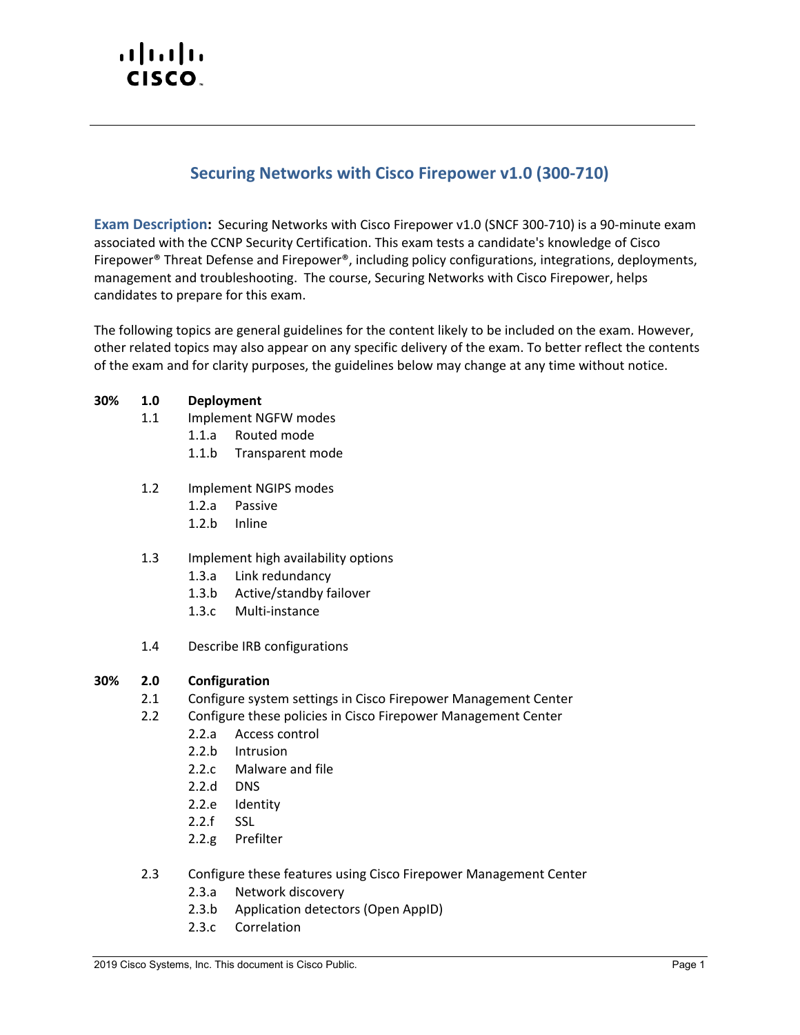# altalti CISCO.

# **Securing Networks with Cisco Firepower v1.0 (300-710)**

**Exam Description:** Securing Networks with Cisco Firepower v1.0 (SNCF 300-710) is a 90-minute exam associated with the CCNP Security Certification. This exam tests a candidate's knowledge of Cisco Firepower® Threat Defense and Firepower®, including policy configurations, integrations, deployments, management and troubleshooting. The course, Securing Networks with Cisco Firepower, helps candidates to prepare for this exam.

The following topics are general guidelines for the content likely to be included on the exam. However, other related topics may also appear on any specific delivery of the exam. To better reflect the contents of the exam and for clarity purposes, the guidelines below may change at any time without notice.

## **30% 1.0 Deployment**

- 1.1 Implement NGFW modes
	- 1.1.a Routed mode
	- 1.1.b Transparent mode
- 1.2 Implement NGIPS modes
	- 1.2.a Passive
	- 1.2.b Inline

#### 1.3 Implement high availability options

- 1.3.a Link redundancy
- 1.3.b Active/standby failover
- 1.3.c Multi-instance
- 1.4 Describe IRB configurations

#### **30% 2.0 Configuration**

- 2.1 Configure system settings in Cisco Firepower Management Center
- 2.2 Configure these policies in Cisco Firepower Management Center
	- 2.2.a Access control
	- 2.2.b Intrusion
	- 2.2.c Malware and file
	- 2.2.d DNS
	- 2.2.e Identity
	- 2.2.f SSL
	- 2.2.g Prefilter
- 2.3 Configure these features using Cisco Firepower Management Center
	- 2.3.a Network discovery
	- 2.3.b Application detectors (Open AppID)
	- 2.3.c Correlation